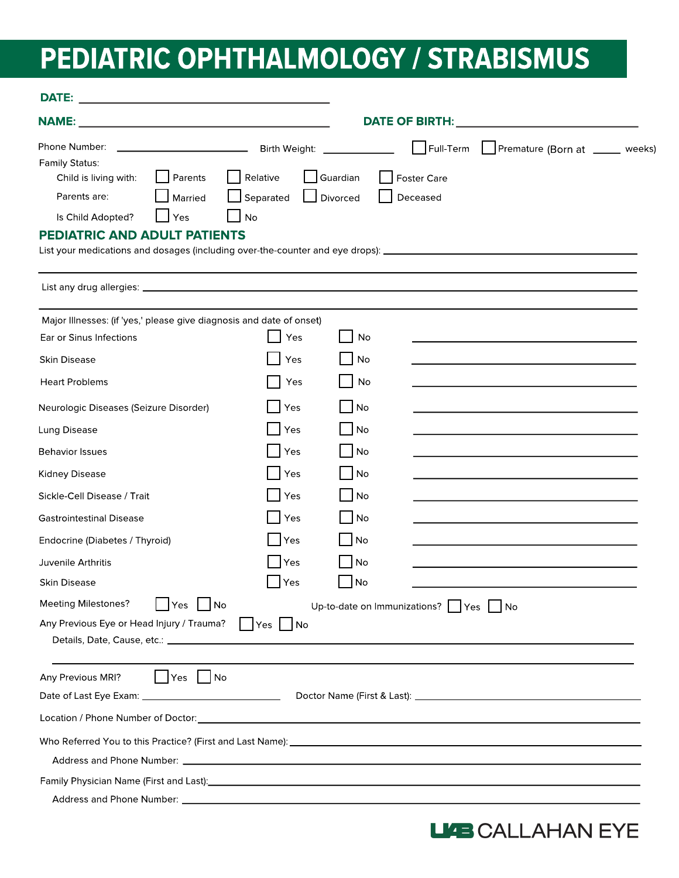## PEDIATRIC OPHTHALMOLOGY / STRABISMUS

| <b>DATE:</b>                                                                                                                                                                                                                                                                                                                                                                                                                                                                                                                                                                               |                                                                                                                                                                                                                                 |  |  |  |
|--------------------------------------------------------------------------------------------------------------------------------------------------------------------------------------------------------------------------------------------------------------------------------------------------------------------------------------------------------------------------------------------------------------------------------------------------------------------------------------------------------------------------------------------------------------------------------------------|---------------------------------------------------------------------------------------------------------------------------------------------------------------------------------------------------------------------------------|--|--|--|
| NAME: NAME AND A CONTRACT A CONTRACT OF THE CONTRACT OF THE CONTRACT OF THE CONTRACT OF THE CONTRACT OF THE CONTRACT OF THE CONTRACT OF THE CONTRACT OF THE CONTRACT OF THE CONTRACT OF THE CONTRACT OF THE CONTRACT OF THE CO                                                                                                                                                                                                                                                                                                                                                             | DATE OF BIRTH: <b>Annual Property of Billiam Company</b>                                                                                                                                                                        |  |  |  |
| Phone Number:<br>Birth Weight:<br>Family Status:<br>Relative<br>Child is living with:<br>Parents<br>Parents are:<br>Married<br>Separated<br>Is Child Adopted?<br>No<br>Yes<br><b>PEDIATRIC AND ADULT PATIENTS</b>                                                                                                                                                                                                                                                                                                                                                                          | Premature (Born at _____ weeks)<br>$\Box$ Full-Term<br>Guardian<br><b>Foster Care</b><br>Deceased<br>Divorced<br>List your medications and dosages (including over-the-counter and eye drops): ________________________________ |  |  |  |
|                                                                                                                                                                                                                                                                                                                                                                                                                                                                                                                                                                                            |                                                                                                                                                                                                                                 |  |  |  |
| Major Illnesses: (if 'yes,' please give diagnosis and date of onset)<br>Yes<br>Ear or Sinus Infections<br>Skin Disease<br>Yes<br><b>Heart Problems</b><br>Yes<br>Yes<br>Neurologic Diseases (Seizure Disorder)<br>Lung Disease<br>Yes<br>Yes<br><b>Behavior Issues</b><br>Yes<br>Kidney Disease<br>Sickle-Cell Disease / Trait<br>Yes<br>Yes<br><b>Gastrointestinal Disease</b><br>Yes<br>Endocrine (Diabetes / Thyroid)<br>Juvenile Arthritis<br>Yes<br><b>Skin Disease</b><br><b>Yes</b><br>Meeting Milestones?<br>$ $ No<br>Yes<br>Any Previous Eye or Head Injury / Trauma?   Yes   No | No<br>No<br>No<br>No<br>No<br>No<br>No<br>No<br>No<br>No<br>No<br>$ $ No<br>Up-to-date on Immunizations? $\Box$ Yes $\Box$ No                                                                                                   |  |  |  |
| Any Previous MRI?<br>$ $   Yes     No                                                                                                                                                                                                                                                                                                                                                                                                                                                                                                                                                      |                                                                                                                                                                                                                                 |  |  |  |